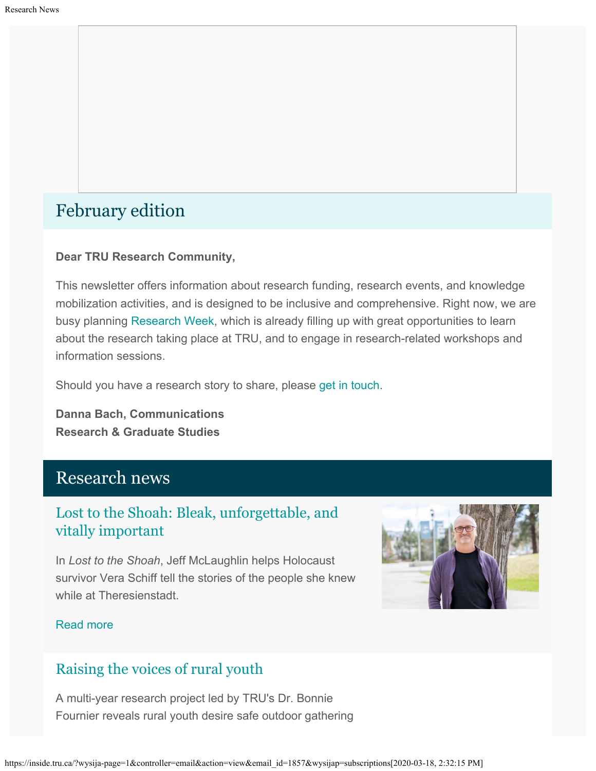# February edition

### **Dear TRU Research Community,**

This newsletter offers information about research funding, research events, and knowledge mobilization activities, and is designed to be inclusive and comprehensive. Right now, we are busy planning [Research Week](https://www.tru.ca/research/research-week.html), which is already filling up with great opportunities to learn about the research taking place at TRU, and to engage in research-related workshops and information sessions.

Should you have a research story to share, please [get in touch](mailto:dbach@tru.ca).

**Danna Bach, Communications Research & Graduate Studies**

## Research news

## [Lost to the Shoah: Bleak, unforgettable, and](http://inside.tru.ca/2020/02/06/lost-in-the-shoah-bleak-unforgettable-and-vitally-important/) [vitally important](http://inside.tru.ca/2020/02/06/lost-in-the-shoah-bleak-unforgettable-and-vitally-important/)

In *Lost to the Shoah*, Jeff McLaughlin helps Holocaust survivor Vera Schiff tell the stories of the people she knew while at Theresienstadt.



### [Read more](http://inside.tru.ca/2020/02/06/lost-in-the-shoah-bleak-unforgettable-and-vitally-important/)

## [Raising the voices of rural youth](http://inside.tru.ca/2020/01/15/raising-the-voices-of-rural-youth/)

A multi-year research project led by TRU's Dr. Bonnie Fournier reveals rural youth desire safe outdoor gathering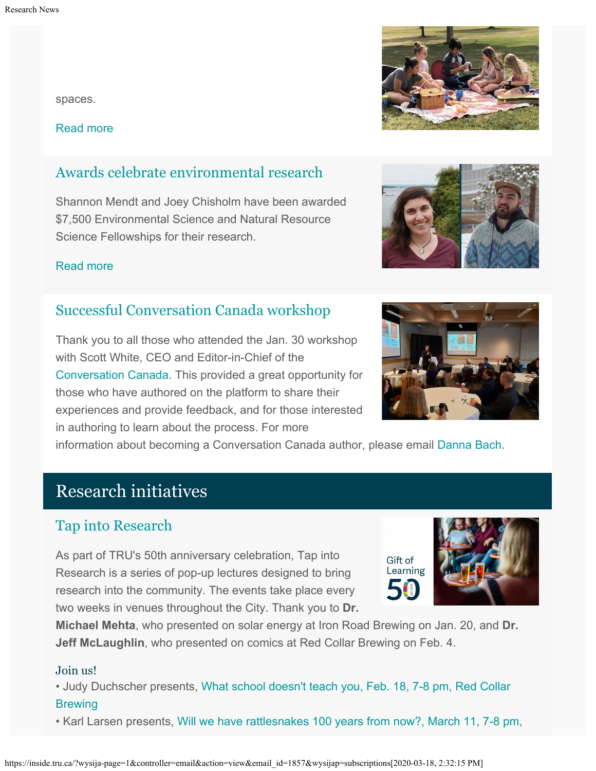spaces.

[Read more](http://inside.tru.ca/2020/01/15/raising-the-voices-of-rural-youth/)

## [Awards celebrate environmental research](http://inside.tru.ca/2020/01/14/awards-celebrate-environmental-research/)

Shannon Mendt and Joey Chisholm have been awarded \$7,500 Environmental Science and Natural Resource Science Fellowships for their research.

### [Read more](http://inside.tru.ca/2020/01/14/awards-celebrate-environmental-research/)

## [Successful Conversation Canada workshop](https://inside.tru.ca/events/event/conversation-canada-a-session-with-editor-scott-white/)

Thank you to all those who attended the Jan. 30 workshop with Scott White, CEO and Editor-in-Chief of the [Conversation Canada](https://theconversation.com/ca). This provided a great opportunity for those who have authored on the platform to share their experiences and provide feedback, and for those interested in authoring to learn about the process. For more

information about becoming a Conversation Canada author, please email [Danna Bach](mailto:dbach@tru.ca).

# Research initiatives

## [Tap into Research](https://inside.tru.ca/events/event/tap-into-research-what-school-doesnt-teach-you-with-dr-judy-duchscher/)

As part of TRU's 50th anniversary celebration, Tap into Research is a series of pop-up lectures designed to bring research into the community. The events take place every two weeks in venues throughout the City. Thank you to **Dr.**

**Michael Mehta**, who presented on solar energy at Iron Road Brewing on Jan. 20, and **Dr. Jeff McLaughlin**, who presented on comics at Red Collar Brewing on Feb. 4.

### Join us!

• Judy Duchscher presents, [What school doesn't teach you, Feb. 18, 7-8 pm, Red Collar](https://inside.tru.ca/events/event/tap-into-research-what-school-doesnt-teach-you-with-dr-judy-duchscher/) **[Brewing](https://inside.tru.ca/events/event/tap-into-research-what-school-doesnt-teach-you-with-dr-judy-duchscher/)** 

• Karl Larsen presents, [Will we have rattlesnakes 100 years from now?, March 11, 7-8 pm,](https://inside.tru.ca/events/event/tap-into-research-will-we-have-rattlesnakes-100-years-from-now/)







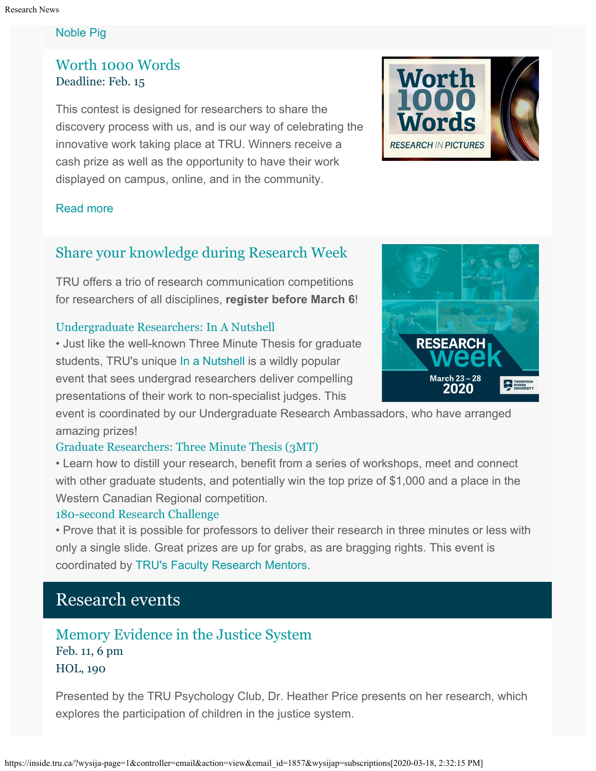### [Noble Pig](https://inside.tru.ca/events/event/tap-into-research-will-we-have-rattlesnakes-100-years-from-now/)

## [Worth 1000 Words](http://inside.tru.ca/2019/10/01/worth-1000-words-research-photo-contest-opens/) Deadline: Feb. 15

This contest is designed for researchers to share the discovery process with us, and is our way of celebrating the innovative work taking place at TRU. Winners receive a cash prize as well as the opportunity to have their work displayed on campus, online, and in the community.



### [Read more](http://inside.tru.ca/2019/10/01/worth-1000-words-research-photo-contest-opens/)

## [Share your knowledge during Research Week](https://www.tru.ca/research/research-week.html)

TRU offers a trio of research communication competitions for researchers of all disciplines, **register before March 6**!

### [Undergraduate Researchers:](https://www.tru.ca/research/research-week/in-a-nutshell.html) In A Nutshell

• Just like the well-known Three Minute Thesis for graduate students, TRU's unique [In a Nutshell](https://www.tru.ca/research/research-week/in-a-nutshell.html) is a wildly popular event that sees undergrad researchers deliver compelling presentations of their work to non-specialist judges. This

event is coordinated by our Undergraduate Research Ambassadors, who have arranged amazing prizes!

### [Graduate Researchers: Three Minute Thesis \(3MT\)](https://www.tru.ca/research/research-week/3mt.html)

• Learn how to distill your research, benefit from a series of workshops, meet and connect with other graduate students, and potentially win the top prize of \$1,000 and a place in the Western Canadian Regional competition.

### [180-second Research Challenge](https://www.tru.ca/research/research-week/180-second-research-challenge.html)

• Prove that it is possible for professors to deliver their research in three minutes or less with only a single slide. Great prizes are up for grabs, as are bragging rights. This event is coordinated by [TRU's Faculty Research Mentors](https://www.tru.ca/research/research-services/research-services-faculty/faculty-research-mentors.html).

## Research events

## [Memory Evidence in the Justice System](http://inside.tru.ca/events/event/memory-evidence-in-the-justice-system/) Feb. 11, 6 pm HOL, 190

Presented by the TRU Psychology Club, Dr. Heather Price presents on her research, which explores the participation of children in the justice system.

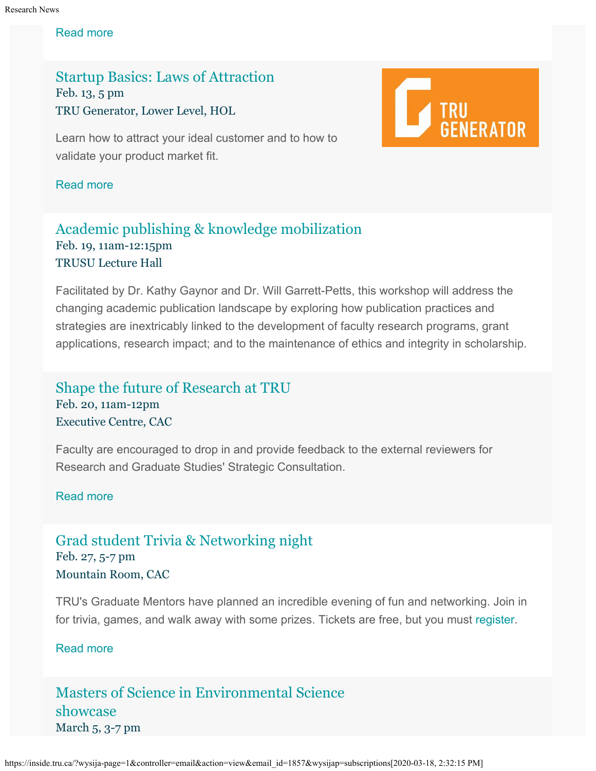#### Research News

#### [Read more](http://inside.tru.ca/events/event/memory-evidence-in-the-justice-system/)

[Startup Basics: Laws of Attraction](http://inside.tru.ca/events/event/startup-basics-laws-of-attraction-2/) Feb. 13, 5 pm TRU Generator, Lower Level, HOL

Learn how to attract your ideal customer and to how to validate your product market fit.



#### [Read more](http://inside.tru.ca/events/event/startup-basics-laws-of-attraction-2/)

## [Academic publishing & knowledge mobilization](https://trupdweek2020.sched.com/event/ZZRD/academic-publishing-and-knowledge-mobilization-challenges-opportunities-and-best-practices) Feb. 19, 11am-12:15pm TRUSU Lecture Hall

Facilitated by Dr. Kathy Gaynor and Dr. Will Garrett-Petts, this workshop will address the changing academic publication landscape by exploring how publication practices and strategies are inextricably linked to the development of faculty research programs, grant applications, research impact; and to the maintenance of ethics and integrity in scholarship.

## [Shape the future of Research at TRU](http://inside.tru.ca/events/event/shape-the-future-of-research-at-tru-drop-in/) Feb. 20, 11am-12pm Executive Centre, CAC

Faculty are encouraged to drop in and provide feedback to the external reviewers for Research and Graduate Studies' Strategic Consultation.

### [Read more](http://inside.tru.ca/events/event/shape-the-future-of-research-at-tru-drop-in/)

## [Grad student Trivia & Networking night](http://inside.tru.ca/events/event/grad-student-trivia-networking-night/) Feb. 27, 5-7 pm Mountain Room, CAC

TRU's Graduate Mentors have planned an incredible evening of fun and networking. Join in for trivia, games, and walk away with some prizes. Tickets are free, but you must [register.](https://www.eventbrite.ca/myevent?eid=91184137209)

### [Read more](http://inside.tru.ca/events/event/grad-student-trivia-networking-night/)

## [Masters of Science in Environmental Science](http://inside.tru.ca/events/event/masters-of-science-in-environmental-science-showcase-2/) [showcase](http://inside.tru.ca/events/event/masters-of-science-in-environmental-science-showcase-2/) March 5, 3-7 pm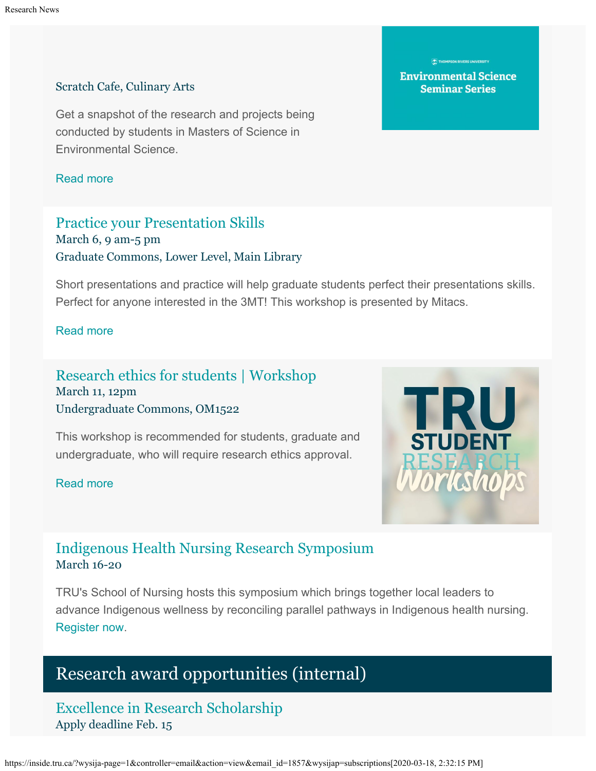#### Scratch Cafe, Culinary Arts

Get a snapshot of the research and projects being conducted by students in Masters of Science in Environmental Science.

[Read more](http://inside.tru.ca/events/event/masters-of-science-in-environmental-science-showcase-2/)

## [Practice your Presentation Skills](http://inside.tru.ca/events/event/practice-your-presentation-skills-mitacs/) March 6, 9 am-5 pm Graduate Commons, Lower Level, Main Library

Short presentations and practice will help graduate students perfect their presentations skills. Perfect for anyone interested in the 3MT! This workshop is presented by Mitacs.

#### [Read more](http://inside.tru.ca/events/event/practice-your-presentation-skills-mitacs/)

## [Research ethics for students | Workshop](http://inside.tru.ca/events/event/research-ethics-for-students-workshop/) March 11, 12pm Undergraduate Commons, OM1522

This workshop is recommended for students, graduate and undergraduate, who will require research ethics approval.

#### [Read more](http://inside.tru.ca/events/event/research-ethics-for-students-workshop/)



## [Indigenous Health Nursing Research Symposium](https://www.tru.ca/nursing/aboriginal-nursing/2020-ihnrs.html) March 16-20

TRU's School of Nursing hosts this symposium which brings together local leaders to advance Indigenous wellness by reconciling parallel pathways in Indigenous health nursing. [Register now](https://www.tru.ca/nursing/aboriginal-nursing/2020-ihnrs/registration-form.html).

# Research award opportunities (internal)

[Excellence in Research Scholarship](https://www.tru.ca/research/research-services/research-services-faculty/research-awards.html) Apply deadline Feb. 15

https://inside.tru.ca/?wysija-page=1&controller=email&action=view&email\_id=1857&wysijap=subscriptions[2020-03-18, 2:32:15 PM]

**Environmental Science Seminar Series**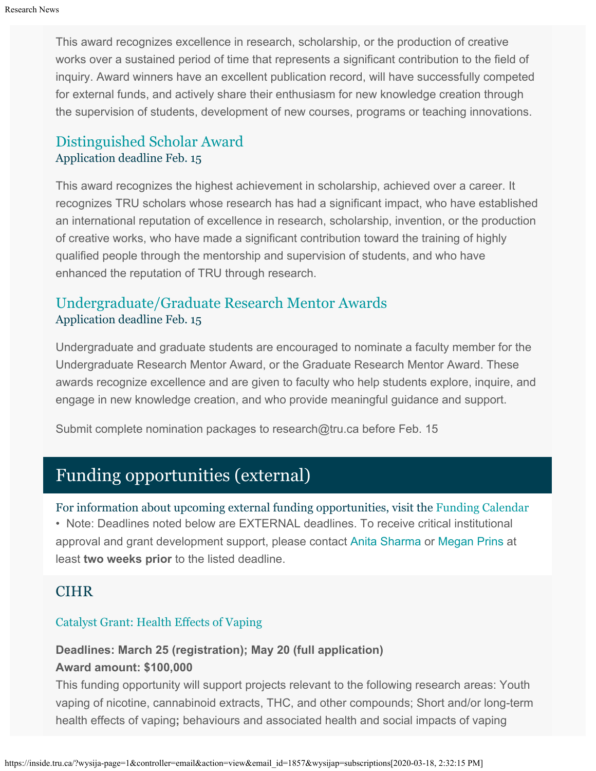This award recognizes excellence in research, scholarship, or the production of creative works over a sustained period of time that represents a significant contribution to the field of inquiry. Award winners have an excellent publication record, will have successfully competed for external funds, and actively share their enthusiasm for new knowledge creation through the supervision of students, development of new courses, programs or teaching innovations.

## [Distinguished Scholar Award](https://www.tru.ca/research/research-services/research-services-faculty/research-awards.html) Application deadline Feb. 15

This award recognizes the highest achievement in scholarship, achieved over a career. It recognizes TRU scholars whose research has had a significant impact, who have established an international reputation of excellence in research, scholarship, invention, or the production of creative works, who have made a significant contribution toward the training of highly qualified people through the mentorship and supervision of students, and who have enhanced the reputation of TRU through research.

## [Undergraduate/Graduate Research Mentor Awards](https://www.tru.ca/research/research-services/research-services-faculty/research-awards.html) Application deadline Feb. 15

Undergraduate and graduate students are encouraged to nominate a faculty member for the Undergraduate Research Mentor Award, or the Graduate Research Mentor Award. These awards recognize excellence and are given to faculty who help students explore, inquire, and engage in new knowledge creation, and who provide meaningful guidance and support.

Submit complete nomination packages to research@tru.ca before Feb. 15

# Funding opportunities (external)

For information about upcoming external funding opportunities, visit the [Funding Calendar](https://www.tru.ca/research/research-services/research-services-faculty/faculty-research-funding/funding-deadlines.html) • Note: Deadlines noted below are EXTERNAL deadlines. To receive critical institutional approval and grant development support, please contact [Anita Sharma](mailto:ansharma@tru.ca) or [Megan Prins](mailto:mprins@tru.ca) at least **two weeks prior** to the listed deadline.

## **CIHR**

### [Catalyst Grant: Health Effects of Vaping](https://www.researchnet-recherchenet.ca/rnr16/vwOpprtntyDtls.do?prog=3220&view=search&terms=vaping&type=EXACT&resultCount=25&next=1)

## **Deadlines: March 25 (registration); May 20 (full application) Award amount: \$100,000**

This funding opportunity will support projects relevant to the following research areas: Youth vaping of nicotine, cannabinoid extracts, THC, and other compounds; Short and/or long-term health effects of vaping**;** behaviours and associated health and social impacts of vaping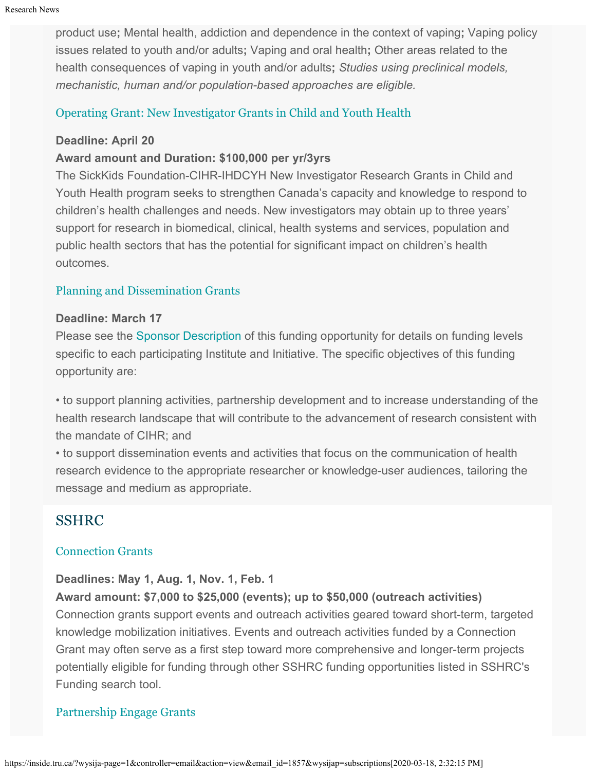product use**;** Mental health, addiction and dependence in the context of vaping**;** Vaping policy issues related to youth and/or adults**;** Vaping and oral health**;** Other areas related to the health consequences of vaping in youth and/or adults**;** *Studies using preclinical models, mechanistic, human and/or population-based approaches are eligible.*

### [Operating Grant: New Investigator Grants in Child and Youth Health](https://www.researchnet-recherchenet.ca/rnr16/vwOpprtntyDtls.do?prog=3206&view=search&incArc=true&launchMonth=12&launchYear=2019&type=EXACT&resultCount=25&next=1)

#### **Deadline: April 20**

### **Award amount and Duration: \$100,000 per yr/3yrs**

The SickKids Foundation-CIHR-IHDCYH New Investigator Research Grants in Child and Youth Health program seeks to strengthen Canada's capacity and knowledge to respond to children's health challenges and needs. New investigators may obtain up to three years' support for research in biomedical, clinical, health systems and services, population and public health sectors that has the potential for significant impact on children's health outcomes.

#### [Planning and Dissemination Grants](https://www.researchnet-recherchenet.ca/rnr16/vwOpprtntyDtls.do?prog=3209&view=currentOpps&org=CIHR&type=EXACT&resultC)

#### **Deadline: March 17**

Please see the [Sponsor Description](https://www.researchnet-recherchenet.ca/rnr16/vwOpprtntyDtls.do?prog=3209&view=currentOpps&org=CIHR&type=EXACT&resultCount=25&sort=program&all=1&masterList=true%22%20%5Cl%20%22partnerdescription) of this funding opportunity for details on funding levels specific to each participating Institute and Initiative. The specific objectives of this funding opportunity are:

• to support planning activities, partnership development and to increase understanding of the health research landscape that will contribute to the advancement of research consistent with the mandate of CIHR; and

• to support dissemination events and activities that focus on the communication of health research evidence to the appropriate researcher or knowledge-user audiences, tailoring the message and medium as appropriate.

## SSHRC

#### [Connection Grants](http://www.sshrc-crsh.gc.ca/funding-financement/programs-programmes/connection_grants-subventions_connexion-eng.aspx)

#### **Deadlines: May 1, Aug. 1, Nov. 1, Feb. 1**

**Award amount: \$7,000 to \$25,000 (events); up to \$50,000 (outreach activities)** Connection grants support events and outreach activities geared toward short-term, targeted knowledge mobilization initiatives. Events and outreach activities funded by a Connection Grant may often serve as a first step toward more comprehensive and longer-term projects potentially eligible for funding through other SSHRC funding opportunities listed in SSHRC's Funding search tool.

### [Partnership Engage Grants](http://www.sshrc-crsh.gc.ca/funding-financement/programs-programmes/partnership_engage_grants-subventions_d_engagement_partenarial-eng.aspx)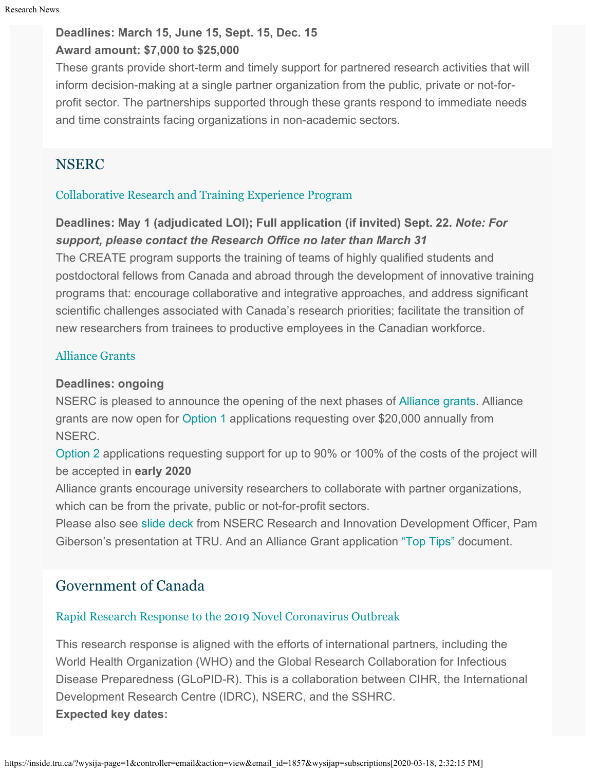### **Deadlines: March 15, June 15, Sept. 15, Dec. 15 Award amount: \$7,000 to \$25,000**

These grants provide short-term and timely support for partnered research activities that will inform decision-making at a single partner organization from the public, private or not-forprofit sector. The partnerships supported through these grants respond to immediate needs and time constraints facing organizations in non-academic sectors.

## **NSERC**

## [Collaborative Research and Training Experience Program](https://www.nserc-crsng.gc.ca/Professors-Professeurs/Grants-Subs/CREATE-FONCER_eng.asp)

## **Deadlines: May 1 (adjudicated LOI); Full application (if invited) Sept. 22.** *Note: For support, please contact the Research Office no later than March 31*

The CREATE program supports the training of teams of highly qualified students and postdoctoral fellows from Canada and abroad through the development of innovative training programs that: encourage collaborative and integrative approaches, and address significant scientific challenges associated with Canada's research priorities; facilitate the transition of new researchers from trainees to productive employees in the Canadian workforce.

## [Alliance Grants](https://www.nserc-crsng.gc.ca/Innovate-Innover/alliance-alliance/index_eng.asp)

### **Deadlines: ongoing**

NSERC is pleased to announce the opening of the next phases of [Alliance grants](http://r20.rs6.net/tn.jsp?f=001Nh4U_HO9nZcDZUwQ0Ja1PVlgavA7P5KrtVVktWkT6qD7NxycTeYSSSASYh5xfBf-2iqPq-RQpf__-d-HZVIhYmyPON66_OKF_rafc3HTGeM7jtvWjlwPVSXwfFzUdpKKQqYxyYaOYPnAwCygQvdBpm3ZmMTE6IGNKCGYtSY0UgH2PAswR9fhf_YRQJHtdBONfBdFXZpc71tq-wZboy0dxwzMHE_YJyCD&c=jTpPAwM9aqFHpRzFvhxgop9o-80mLHafD9V0xYJ9AcdY_O4X-CcotQ==&ch=qXagiRY_nz2JyVBFdrlSF-Ywn96ZaDfVoVFeR_sy_3QqO2MXTOFOGA==%22%20%5Ct%20%22_blank). Alliance grants are now open for [Option 1](http://r20.rs6.net/tn.jsp?f=001Nh4U_HO9nZcDZUwQ0Ja1PVlgavA7P5KrtVVktWkT6qD7NxycTeYSSYhEYRzxdIUcJlzNmV7UyofWWBqKpxObysHmQ0KvA51s86LAoHYZWj6L3PZnkn8bio-W8fGeEGsB4lgcXnsWFiZGe1AZTR1XOkDC_6GoqRZdE4XqLKp6jn9B0Ou8v5qWz5OxOZw7Rk2HCfFUiTsmncwF8SyIcNp7udDtOzYl2Np422f_cOUP62Sz8Rvgi1jdbCSZQl-kvE1i&c=jTpPAwM9aqFHpRzFvhxgop9o-80mLHafD9V0xYJ9AcdY_O4X-CcotQ==&ch=qXagiRY_nz2JyVBFdrlSF-Ywn96ZaDfVoVFeR_sy_3QqO2MXTOFOGA==%22%20%5Ct%20%22_blank) applications requesting over \$20,000 annually from NSERC.

[Option 2](http://r20.rs6.net/tn.jsp?f=001Nh4U_HO9nZcDZUwQ0Ja1PVlgavA7P5KrtVVktWkT6qD7NxycTeYSSYhEYRzxdIUcBUAB6jQi8sUpCr1a9DmJkOb86dvh-Zf25iif6bkuljHT8AjzPerc9Ez8QuubvtZRjHz1KaytWfputn1tWIOgu6MH8tsS7oftijMJ5IYPMqgf_UpAjaF514Z3mY79TTxeoFmFByRtQvPjFHUuAPWjIea4AukBoFeEu0qYkAiXQ3Q8Y_STONZVwxIy4rx4jPNR&c=jTpPAwM9aqFHpRzFvhxgop9o-80mLHafD9V0xYJ9AcdY_O4X-CcotQ==&ch=qXagiRY_nz2JyVBFdrlSF-Ywn96ZaDfVoVFeR_sy_3QqO2MXTOFOGA==%22%20%5Ct%20%22_blank) applications requesting support for up to 90% or 100% of the costs of the project will be accepted in **early 2020**

Alliance grants encourage university researchers to collaborate with partner organizations, which can be from the private, public or not-for-profit sectors.

Please also see [slide deck](https://one.tru.ca/sites/rgs/ToolsandResources/_layouts/15/WopiFrame.aspx?sourcedoc=/sites/rgs/ToolsandResources/Shared%20Documents/NSERC_ALLIANCE.pptx&action=default) from NSERC Research and Innovation Development Officer, Pam Giberson's presentation at TRU. And an Alliance Grant application ["Top Tips"](https://one.tru.ca/sites/rgs/ToolsandResources/_layouts/15/WopiFrame.aspx?sourcedoc=/sites/rgs/ToolsandResources/Shared%20Documents/Alliance%20Grant%20-%20Top%20Tips%20EN%20%20FR.pdf&action=default) document.

## Government of Canada

## [Rapid Research Response to the 2019 Novel Coronavirus Outbreak](https://www.nserc-crsng.gc.ca/Media-Media/ProgramNewsDetails-NouvellesDesProgrammesDetails_eng.asp?ID=1123)

This research response is aligned with the efforts of international partners, including the World Health Organization (WHO) and the Global Research Collaboration for Infectious Disease Preparedness (GLoPID-R). This is a collaboration between CIHR, the International Development Research Centre (IDRC), NSERC, and the SSHRC. **Expected key dates:**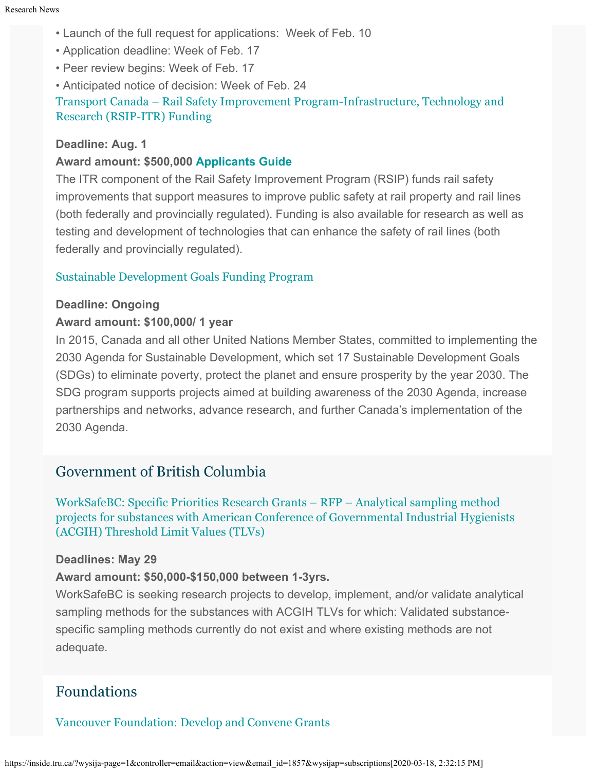- Launch of the full request for applications: Week of Feb. 10
- Application deadline: Week of Feb. 17
- Peer review begins: Week of Feb. 17
- Anticipated notice of decision: Week of Feb. 24

[Transport Canada – Rail Safety Improvement Program-Infrastructure, Technology and](https://www.tc.gc.ca/en/services/rail/apply-rsip-itr-funding.html) [Research \(RSIP-ITR\) Funding](https://www.tc.gc.ca/en/services/rail/apply-rsip-itr-funding.html)

#### **Deadline: Aug. 1**

#### **Award amount: \$500,000 [Applicants Guide](https://www.tc.gc.ca/en/services/rail/apply-rsip-itr-funding/rsip-itr-applicants-guide.html)**

The ITR component of the Rail Safety Improvement Program (RSIP) funds rail safety improvements that support measures to improve public safety at rail property and rail lines (both federally and provincially regulated). Funding is also available for research as well as testing and development of technologies that can enhance the safety of rail lines (both federally and provincially regulated).

### [Sustainable Development Goals Funding Program](https://www.canada.ca/en/employment-social-development/services/funding/sustainable-development-goals.html?utm_source=Alliance+mailing+list&utm_campaign=3b8335f44f-EMAIL_CAMPAIGN_2019_05_09_02_30_COPY_01&utm_medium=email&utm_term=0_d8c079edf8-3b8335f44f-132838517&mc_cid=3b8335f44f&mc_eid=3317a57706)

#### **Deadline: Ongoing**

#### **Award amount: \$100,000/ 1 year**

In 2015, Canada and all other United Nations Member States, committed to implementing the 2030 Agenda for Sustainable Development, which set 17 Sustainable Development Goals (SDGs) to eliminate poverty, protect the planet and ensure prosperity by the year 2030. The SDG program supports projects aimed at building awareness of the 2030 Agenda, increase partnerships and networks, advance research, and further Canada's implementation of the 2030 Agenda.

## Government of British Columbia

[WorkSafeBC: Specific Priorities Research Grants – RFP –](https://www.worksafebc.com/en/resources/about-us/research/2020-sp-request-for-proposals-sampling-methods?lang=en) [Analytical sampling method](https://www.worksafebc.com/en/resources/about-us/research/2020-sp-request-for-proposals-sampling-methods?lang=en) [projects for substances with American Conference of Governmental Industrial Hygienists](https://www.worksafebc.com/en/resources/about-us/research/2020-sp-request-for-proposals-sampling-methods?lang=en) [\(ACGIH\) Threshold Limit Values \(TLVs\)](https://www.worksafebc.com/en/resources/about-us/research/2020-sp-request-for-proposals-sampling-methods?lang=en)

#### **Deadlines: May 29**

#### **Award amount: \$50,000-\$150,000 between 1-3yrs.**

WorkSafeBC is seeking research projects to develop, implement, and/or validate analytical sampling methods for the substances with ACGIH TLVs for which: Validated substancespecific sampling methods currently do not exist and where existing methods are not adequate.

## Foundations

### [Vancouver Foundation: Develop and Convene Grants](https://www.vancouverfoundation.ca/grants/systems-change-grants)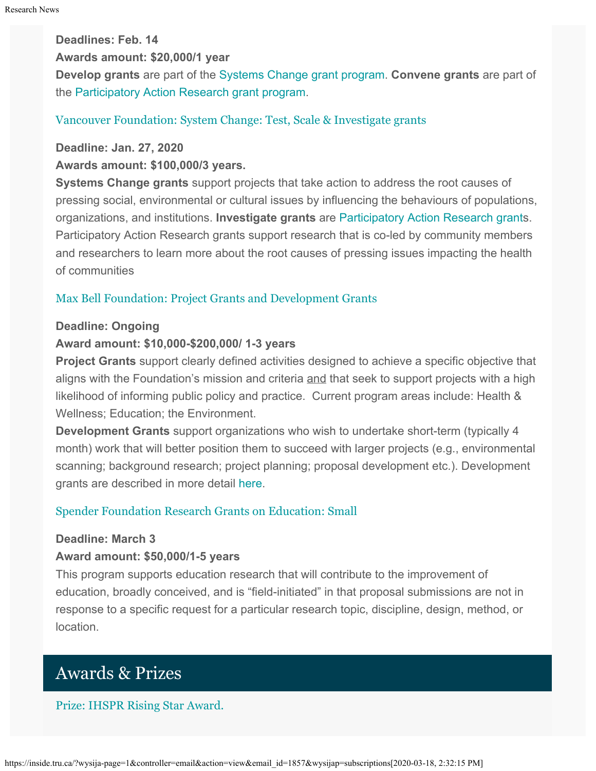**Deadlines: Feb. 14**

**Awards amount: \$20,000/1 year**

**Develop grants** are part of the [Systems Change grant program](https://www.vancouverfoundation.ca/grants/systems-change-grants). **Convene grants** are part of the [Participatory Action Research grant program](https://www.vancouverfoundation.ca/grants/participatory-action-research-grants).

### [Vancouver Foundation: System Change: Test, Scale & Investigate grants](https://www.vancouverfoundation.ca/grants)

**Deadline: Jan. 27, 2020**

**Awards amount: \$100,000/3 years.**

**Systems Change grants** support projects that take action to address the root causes of pressing social, environmental or cultural issues by influencing the behaviours of populations, organizations, and institutions. **Investigate grants** are [Participatory Action Research grant](https://www.vancouverfoundation.ca/grants/participatory-action-research-grants)s. Participatory Action Research grants support research that is co-led by community members and researchers to learn more about the root causes of pressing issues impacting the health of communities

### [Max Bell Foundation: Project Grants and Development Grants](https://maxbell.org/our-work/granting/types-programs/)

### **Deadline: Ongoing**

### **Award amount: \$10,000-\$200,000/ 1-3 years**

**Project Grants** support clearly defined activities designed to achieve a specific objective that aligns with the Foundation's mission and criteria and that seek to support projects with a high likelihood of informing public policy and practice. Current program areas include: Health & Wellness; Education; the Environment.

**Development Grants** support organizations who wish to undertake short-term (typically 4 month) work that will better position them to succeed with larger projects (e.g., environmental scanning; background research; project planning; proposal development etc.). Development grants are described in more detail [here](https://maxbell.org/our-work/types-programs/).

### [Spender Foundation Research Grants on Education: Small](https://www.spencer.org/grant_types/small-research-grant)

### **Deadline: March 3**

### **Award amount: \$50,000/1-5 years**

This program supports education research that will contribute to the improvement of education, broadly conceived, and is "field-initiated" in that proposal submissions are not in response to a specific request for a particular research topic, discipline, design, method, or location.

# Awards & Prizes

### [Prize: IHSPR Rising Star Award.](https://www.researchnet-recherchenet.ca/rnr16/vwOpprtntyDtls.do?prog=3179&view=currentOpps&org=CIHR&type=EXACT&resultCount=25&sort=program&all=1&masterList=true)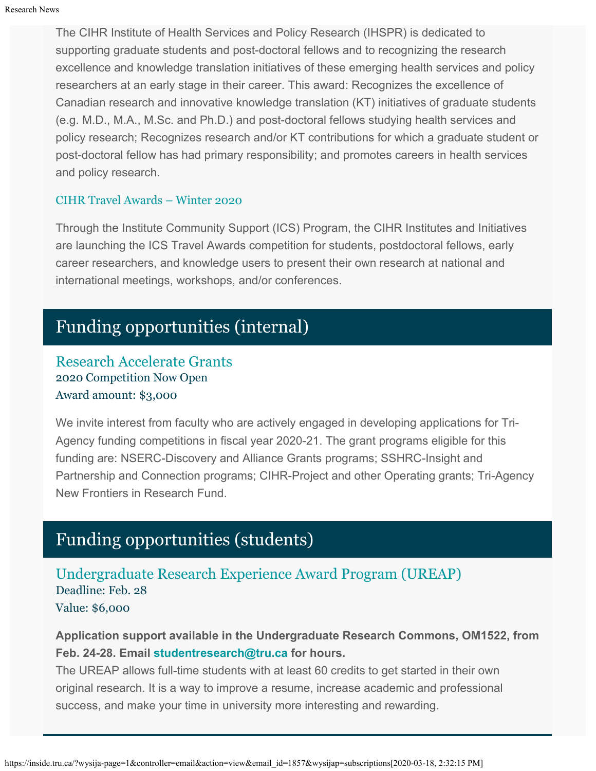The CIHR Institute of Health Services and Policy Research (IHSPR) is dedicated to supporting graduate students and post-doctoral fellows and to recognizing the research excellence and knowledge translation initiatives of these emerging health services and policy researchers at an early stage in their career. This award: Recognizes the excellence of Canadian research and innovative knowledge translation (KT) initiatives of graduate students (e.g. M.D., M.A., M.Sc. and Ph.D.) and post-doctoral fellows studying health services and policy research; Recognizes research and/or KT contributions for which a graduate student or post-doctoral fellow has had primary responsibility; and promotes careers in health services and policy research.

#### [CIHR Travel Awards – Winter 2020](https://www.researchnet-recherchenet.ca/rnr16/vwOpprtntyDtls.do?prog=3218&view=search&incArc=true&launchMonth=12&launchYear=2019&type=EXACT&resultCount=25&next=1)

Through the Institute Community Support (ICS) Program, the CIHR Institutes and Initiatives are launching the ICS Travel Awards competition for students, postdoctoral fellows, early career researchers, and knowledge users to present their own research at national and international meetings, workshops, and/or conferences.

# Funding opportunities (internal)

[Research Accelerate Grants](https://www.tru.ca/research/research-services/research-services-faculty/faculty-research-funding/internal-opportunities.html) 2020 Competition Now Open Award amount: \$3,000

We invite interest from faculty who are actively engaged in developing applications for Tri-Agency funding competitions in fiscal year 2020-21. The grant programs eligible for this funding are: NSERC-Discovery and Alliance Grants programs; SSHRC-Insight and Partnership and Connection programs; CIHR-Project and other Operating grants; Tri-Agency New Frontiers in Research Fund.

# Funding opportunities (students)

[Undergraduate Research Experience Award Program \(UREAP\)](https://www.tru.ca/research/undergraduate-research/undergraduate-research-opportunities/ureap-award.html) Deadline: Feb. 28

Value: \$6,000

**Application support available in the Undergraduate Research Commons, OM1522, from Feb. 24-28. Email [studentresearch@tru.ca](mailto:studentresearch@tru.ca) for hours.**

The UREAP allows full-time students with at least 60 credits to get started in their own original research. It is a way to improve a resume, increase academic and professional success, and make your time in university more interesting and rewarding.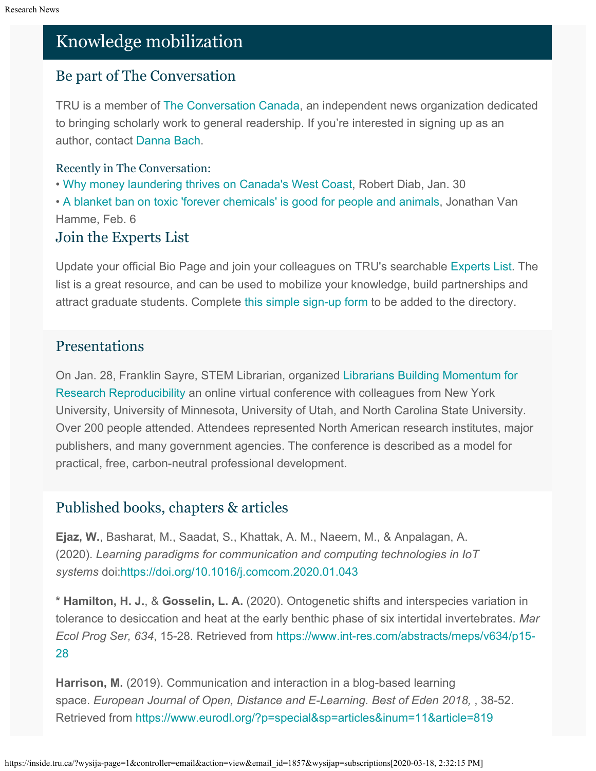# Knowledge mobilization

## Be part of The Conversation

TRU is a member of [The Conversation Canada](https://theconversation.com/ca), an independent news organization dedicated to bringing scholarly work to general readership. If you're interested in signing up as an author, contact [Danna Bach](mailto:dbach@tru.ca).

## Recently in The Conversation:

• [Why money laundering thrives on Canada's West Coast,](https://theconversation.com/why-money-laundering-thrives-on-canadas-west-coast-130735) Robert Diab, Jan. 30

• A blanket ban on [toxic 'forever chemicals' is good for people and animals](https://theconversation.com/a-blanket-ban-on-toxic-forever-chemicals-is-good-for-people-and-animals-127879), Jonathan Van Hamme, Feb. 6

## Join the Experts List

Update your official Bio Page and join your colleagues on TRU's searchable [Experts List](https://inside.tru.ca/find-an-expert/experts-registration-update/). The list is a great resource, and can be used to mobilize your knowledge, build partnerships and attract graduate students. Complete [this simple sign-up form](https://inside.tru.ca/find-an-expert/experts-registration-update/) to be added to the directory.

## Presentations

On Jan. 28, Franklin Sayre, STEM Librarian, organized [Librarians Building Momentum for](https://vickysteeves.gitlab.io/librarians-reproducibility/) [Research Reproducibility](https://vickysteeves.gitlab.io/librarians-reproducibility/) an online virtual conference with colleagues from New York University, University of Minnesota, University of Utah, and North Carolina State University. Over 200 people attended. Attendees represented North American research institutes, major publishers, and many government agencies. The conference is described as a model for practical, free, carbon-neutral professional development.

# Published books, chapters & articles

**Ejaz, W.**, Basharat, M., Saadat, S., Khattak, A. M., Naeem, M., & Anpalagan, A. (2020). *Learning paradigms for communication and computing technologies in IoT systems* doi[:https://doi.org/10.1016/j.comcom.2020.01.043](https://doi.org/10.1016/j.comcom.2020.01.043)

**\* Hamilton, H. J.**, & **Gosselin, L. A.** (2020). Ontogenetic shifts and interspecies variation in tolerance to desiccation and heat at the early benthic phase of six intertidal invertebrates. *Mar Ecol Prog Ser, 634*, 15-28. Retrieved from [https://www.int-res.com/abstracts/meps/v634/p15-](https://www.int-res.com/abstracts/meps/v634/p15-28) [28](https://www.int-res.com/abstracts/meps/v634/p15-28)

**Harrison, M.** (2019). Communication and interaction in a blog-based learning space. *European Journal of Open, Distance and E-Learning. Best of Eden 2018,* , 38-52. Retrieved from <https://www.eurodl.org/?p=special&sp=articles&inum=11&article=819>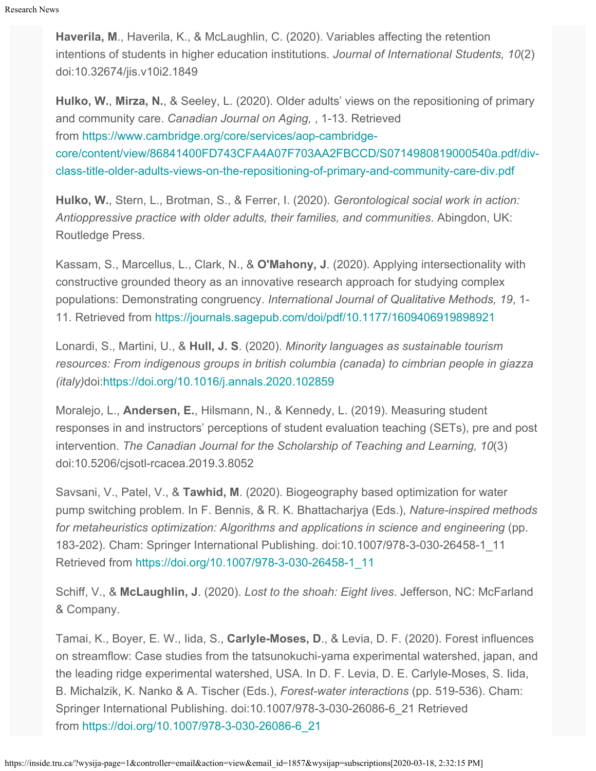**Haverila, M**., Haverila, K., & McLaughlin, C. (2020). Variables affecting the retention intentions of students in higher education institutions. *Journal of International Students, 10*(2) doi:10.32674/jis.v10i2.1849

**Hulko, W.**, **Mirza, N.**, & Seeley, L. (2020). Older adults' views on the repositioning of primary and community care. *Canadian Journal on Aging,* , 1-13. Retrieved from [https://www.cambridge.org/core/services/aop-cambridge](https://www.cambridge.org/core/services/aop-cambridge-core/content/view/86841400FD743CFA4A07F703AA2FBCCD/S0714980819000540a.pdf/div-class-title-older-adults-views-on-the-repositioning-of-primary-and-community-care-div.pdf)[core/content/view/86841400FD743CFA4A07F703AA2FBCCD/S0714980819000540a.pdf/div](https://www.cambridge.org/core/services/aop-cambridge-core/content/view/86841400FD743CFA4A07F703AA2FBCCD/S0714980819000540a.pdf/div-class-title-older-adults-views-on-the-repositioning-of-primary-and-community-care-div.pdf)[class-title-older-adults-views-on-the-repositioning-of-primary-and-community-care-div.pdf](https://www.cambridge.org/core/services/aop-cambridge-core/content/view/86841400FD743CFA4A07F703AA2FBCCD/S0714980819000540a.pdf/div-class-title-older-adults-views-on-the-repositioning-of-primary-and-community-care-div.pdf)

**Hulko, W.**, Stern, L., Brotman, S., & Ferrer, I. (2020). *Gerontological social work in action: Antioppressive practice with older adults, their families, and communities*. Abingdon, UK: Routledge Press.

Kassam, S., Marcellus, L., Clark, N., & **O'Mahony, J**. (2020). Applying intersectionality with constructive grounded theory as an innovative research approach for studying complex populations: Demonstrating congruency. *International Journal of Qualitative Methods, 19*, 1- 11. Retrieved from <https://journals.sagepub.com/doi/pdf/10.1177/1609406919898921>

Lonardi, S., Martini, U., & **Hull, J. S**. (2020). *Minority languages as sustainable tourism resources: From indigenous groups in british columbia (canada) to cimbrian people in giazza (italy)*doi[:https://doi.org/10.1016/j.annals.2020.102859](https://doi.org/10.1016/j.annals.2020.102859)

Moralejo, L., **Andersen, E.**, Hilsmann, N., & Kennedy, L. (2019). Measuring student responses in and instructors' perceptions of student evaluation teaching (SETs), pre and post intervention. *The Canadian Journal for the Scholarship of Teaching and Learning, 10*(3) doi:10.5206/cjsotl-rcacea.2019.3.8052

Savsani, V., Patel, V., & **Tawhid, M**. (2020). Biogeography based optimization for water pump switching problem. In F. Bennis, & R. K. Bhattacharjya (Eds.), *Nature-inspired methods for metaheuristics optimization: Algorithms and applications in science and engineering* (pp. 183-202). Cham: Springer International Publishing. doi:10.1007/978-3-030-26458-1\_11 Retrieved from [https://doi.org/10.1007/978-3-030-26458-1\\_11](https://doi.org/10.1007/978-3-030-26458-1_11)

Schiff, V., & **McLaughlin, J**. (2020). *Lost to the shoah: Eight lives*. Jefferson, NC: McFarland & Company.

Tamai, K., Boyer, E. W., Iida, S., **Carlyle-Moses, D**., & Levia, D. F. (2020). Forest influences on streamflow: Case studies from the tatsunokuchi-yama experimental watershed, japan, and the leading ridge experimental watershed, USA. In D. F. Levia, D. E. Carlyle-Moses, S. Iida, B. Michalzik, K. Nanko & A. Tischer (Eds.), *Forest-water interactions* (pp. 519-536). Cham: Springer International Publishing. doi:10.1007/978-3-030-26086-6\_21 Retrieved from [https://doi.org/10.1007/978-3-030-26086-6\\_21](https://doi.org/10.1007/978-3-030-26086-6_21)